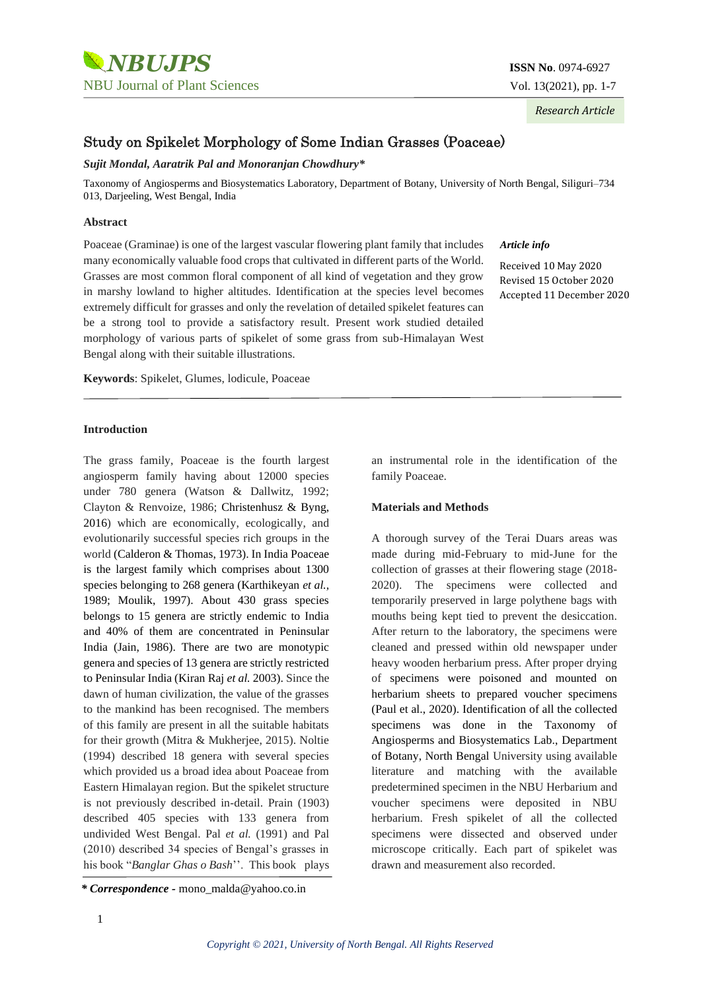

*Research Article*

# Study on Spikelet Morphology of Some Indian Grasses (Poaceae)

### *Sujit Mondal, Aaratrik Pal and Monoranjan Chowdhury\**

Taxonomy of Angiosperms and Biosystematics Laboratory, Department of Botany, University of North Bengal, Siliguri–734 013, Darjeeling, West Bengal, India

### **Abstract**

Poaceae (Graminae) is one of the largest vascular flowering plant family that includes many economically valuable food crops that cultivated in different parts of the World. Grasses are most common floral component of all kind of vegetation and they grow in marshy lowland to higher altitudes. Identification at the species level becomes extremely difficult for grasses and only the revelation of detailed spikelet features can be a strong tool to provide a satisfactory result. Present work studied detailed morphology of various parts of spikelet of some grass from sub-Himalayan West Bengal along with their suitable illustrations.

**Keywords**: Spikelet, Glumes, lodicule, Poaceae

### **Introduction**

The grass family, Poaceae is the fourth largest angiosperm family having about 12000 species under 780 genera (Watson & Dallwitz, 1992; Clayton & Renvoize, 1986; Christenhusz & Byng, 2016) which are economically, ecologically, and evolutionarily successful species rich groups in the world (Calderon & Thomas, 1973). In India Poaceae is the largest family which comprises about 1300 species belonging to 268 genera (Karthikeyan *et al.,* 1989; Moulik, 1997). About 430 grass species belongs to 15 genera are strictly endemic to India and 40% of them are concentrated in Peninsular India (Jain, 1986). There are two are monotypic genera and species of 13 genera are strictly restricted to Peninsular India (Kiran Raj *et al.* 2003). Since the dawn of human civilization, the value of the grasses to the mankind has been recognised. The members of this family are present in all the suitable habitats for their growth (Mitra & Mukherjee, 2015). Noltie (1994) described 18 genera with several species which provided us a broad idea about Poaceae from Eastern Himalayan region. But the spikelet structure is not previously described in-detail. Prain (1903) described 405 species with 133 genera from undivided West Bengal. Pal *et al.* (1991) and Pal (2010) described 34 species of Bengal's grasses in his book "*Banglar Ghas o Bash*''. This book plays

Received 10 May 2020 Revised 15 October 2020 Accepted 11 December 2020

an instrumental role in the identification of the family Poaceae.

#### **Materials and Methods**

A thorough survey of the Terai Duars areas was made during mid-February to mid-June for the collection of grasses at their flowering stage (2018- 2020). The specimens were collected and temporarily preserved in large polythene bags with mouths being kept tied to prevent the desiccation. After return to the laboratory, the specimens were cleaned and pressed within old newspaper under heavy wooden herbarium press. After proper drying of specimens were poisoned and mounted on herbarium sheets to prepared voucher specimens (Paul et al., 2020). Identification of all the collected specimens was done in the Taxonomy of Angiosperms and Biosystematics Lab., Department of Botany, North Bengal University using available literature and matching with the available predetermined specimen in the NBU Herbarium and voucher specimens were deposited in NBU herbarium. Fresh spikelet of all the collected specimens were dissected and observed under microscope critically. Each part of spikelet was drawn and measurement also recorded.

*Article info*

*<sup>\*</sup> Correspondence -* mono\_malda@yahoo.co.in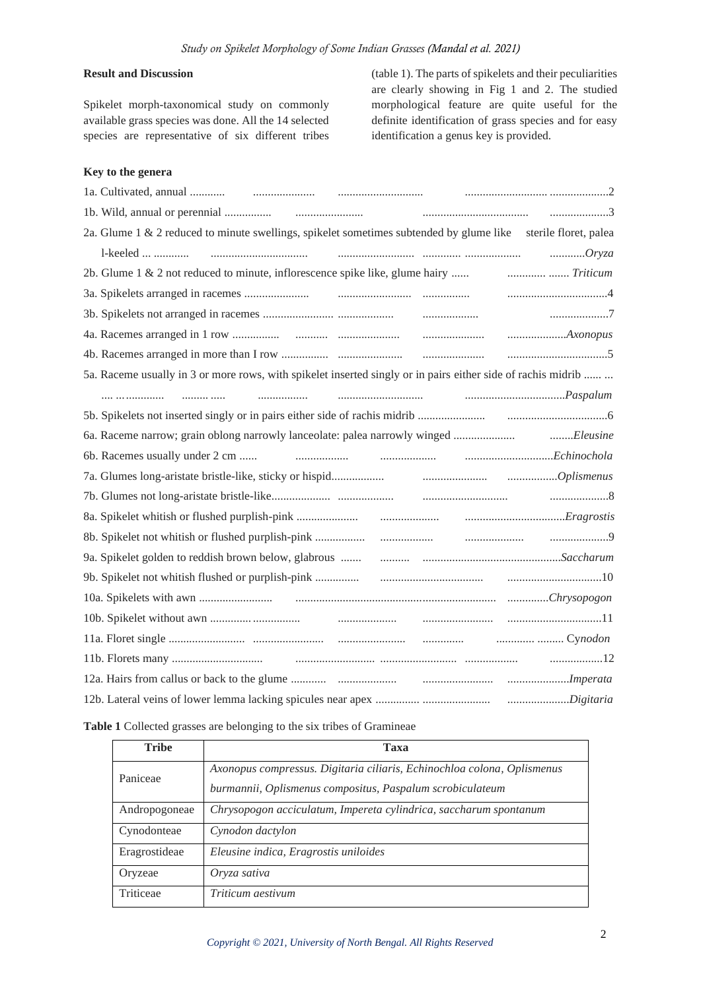# **Result and Discussion**

Spikelet morph-taxonomical study on commonly available grass species was done. All the 14 selected species are representative of six different tribes

(table 1). The parts of spikelets and their peculiarities are clearly showing in Fig 1 and 2. The studied morphological feature are quite useful for the definite identification of grass species and for easy identification a genus key is provided.

### **Key to the genera**

| 2a. Glume 1 & 2 reduced to minute swellings, spikelet sometimes subtended by glume like sterile floret, palea |
|---------------------------------------------------------------------------------------------------------------|
|                                                                                                               |
| 2b. Glume 1 & 2 not reduced to minute, inflorescence spike like, glume hairy  [Friticum 11: 19]               |
|                                                                                                               |
|                                                                                                               |
|                                                                                                               |
|                                                                                                               |
| 5a. Raceme usually in 3 or more rows, with spikelet inserted singly or in pairs either side of rachis midrib  |
|                                                                                                               |
|                                                                                                               |
|                                                                                                               |
|                                                                                                               |
|                                                                                                               |
|                                                                                                               |
|                                                                                                               |
|                                                                                                               |
|                                                                                                               |
|                                                                                                               |
|                                                                                                               |
|                                                                                                               |
|                                                                                                               |
|                                                                                                               |
|                                                                                                               |
|                                                                                                               |

### **Table 1** Collected grasses are belonging to the six tribes of Gramineae

| <b>Tribe</b>  | Taxa                                                                    |
|---------------|-------------------------------------------------------------------------|
| Paniceae      | Axonopus compressus. Digitaria ciliaris, Echinochloa colona, Oplismenus |
|               | burmannii, Oplismenus compositus, Paspalum scrobiculateum               |
| Andropogoneae | Chrysopogon acciculatum, Impereta cylindrica, saccharum spontanum       |
| Cynodonteae   | Cynodon dactylon                                                        |
| Eragrostideae | Eleusine indica, Eragrostis uniloides                                   |
| Oryzeae       | Oryza sativa                                                            |
| Triticeae     | Triticum aestivum                                                       |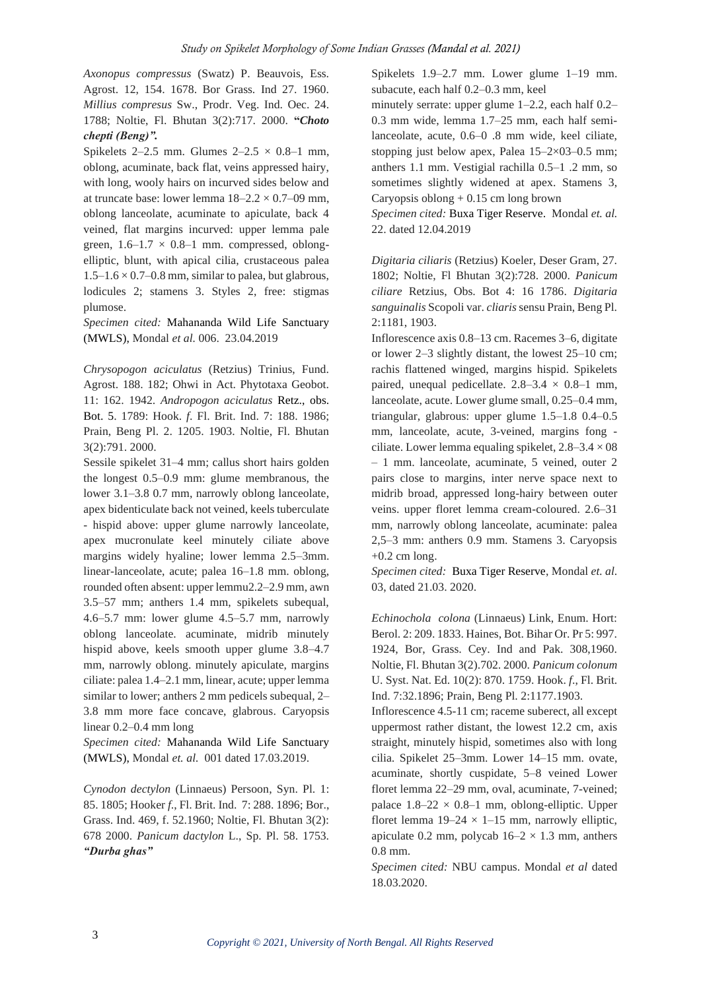*Axonopus compressus* (Swatz) P. Beauvois, Ess. Agrost. 12, 154. 1678. Bor Grass. Ind 27. 1960. *Millius compresus* Sw., Prodr. Veg. Ind. Oec. 24. 1788; Noltie, Fl. Bhutan 3(2):717. 2000. **"***Choto chepti (Beng)".*

Spikelets 2–2.5 mm. Glumes  $2-2.5 \times 0.8-1$  mm. oblong, acuminate, back flat, veins appressed hairy, with long, wooly hairs on incurved sides below and at truncate base: lower lemma  $18-2.2 \times 0.7-09$  mm, oblong lanceolate, acuminate to apiculate, back 4 veined, flat margins incurved: upper lemma pale green,  $1.6-1.7 \times 0.8-1$  mm. compressed, oblongelliptic, blunt, with apical cilia, crustaceous palea  $1.5-1.6 \times 0.7-0.8$  mm, similar to palea, but glabrous, lodicules 2; stamens 3. Styles 2, free: stigmas plumose.

*Specimen cited:* Mahananda Wild Life Sanctuary (MWLS), Mondal *et al.* 006. 23.04.2019

*Chrysopogon aciculatus* (Retzius) Trinius, Fund. Agrost. 188. 182; Ohwi in Act. Phytotaxa Geobot. 11: 162. 1942. *Andropogon aciculatus* Retz., obs. Bot. 5. 1789: Hook. *f*. Fl. Brit. Ind. 7: 188. 1986; Prain, Beng Pl. 2. 1205. 1903. Noltie, Fl. Bhutan 3(2):791. 2000.

Sessile spikelet 31–4 mm; callus short hairs golden the longest 0.5–0.9 mm: glume membranous, the lower 3.1–3.8 0.7 mm, narrowly oblong lanceolate, apex bidenticulate back not veined, keels tuberculate - hispid above: upper glume narrowly lanceolate, apex mucronulate keel minutely ciliate above margins widely hyaline; lower lemma 2.5–3mm. linear-lanceolate, acute; palea 16–1.8 mm. oblong, rounded often absent: upper lemmu2.2–2.9 mm, awn 3.5–57 mm; anthers 1.4 mm, spikelets subequal, 4.6–5.7 mm: lower glume 4.5–5.7 mm, narrowly oblong lanceolate. acuminate, midrib minutely hispid above, keels smooth upper glume 3.8–4.7 mm, narrowly oblong. minutely apiculate, margins ciliate: palea 1.4–2.1 mm, linear, acute; upper lemma similar to lower; anthers 2 mm pedicels subequal, 2– 3.8 mm more face concave, glabrous. Caryopsis linear 0.2–0.4 mm long

*Specimen cited:* Mahananda Wild Life Sanctuary (MWLS), Mondal *et. al.* 001 dated 17.03.2019.

*Cynodon dectylon* (Linnaeus) Persoon, Syn. Pl. 1: 85. 1805; Hooker *f*., Fl. Brit. Ind. 7: 288. 1896; Bor., Grass. Ind. 469, f. 52.1960; Noltie, Fl. Bhutan 3(2): 678 2000. *Panicum dactylon* L., Sp. Pl. 58. 1753. *"Durba ghas"*

Spikelets 1.9–2.7 mm. Lower glume 1–19 mm. subacute, each half 0.2–0.3 mm, keel

minutely serrate: upper glume 1–2.2, each half 0.2– 0.3 mm wide, lemma 1.7–25 mm, each half semilanceolate, acute, 0.6–0 .8 mm wide, keel ciliate, stopping just below apex, Palea  $15-2\times03-0.5$  mm; anthers 1.1 mm. Vestigial rachilla 0.5–1 .2 mm, so sometimes slightly widened at apex. Stamens 3, Caryopsis oblong  $+0.15$  cm long brown

*Specimen cited:* Buxa Tiger Reserve. Mondal *et. al.* 22. dated 12.04.2019

*Digitaria ciliaris* (Retzius) Koeler, Deser Gram, 27. 1802; Noltie, Fl Bhutan 3(2):728. 2000. *Panicum ciliare* Retzius, Obs. Bot 4: 16 1786. *Digitaria sanguinalis* Scopoli var. *cliaris*sensu Prain, Beng Pl. 2:1181, 1903.

Inflorescence axis 0.8–13 cm. Racemes 3–6, digitate or lower 2–3 slightly distant, the lowest 25–10 cm; rachis flattened winged, margins hispid. Spikelets paired, unequal pedicellate.  $2.8-3.4 \times 0.8-1$  mm, lanceolate, acute. Lower glume small, 0.25–0.4 mm, triangular, glabrous: upper glume 1.5–1.8 0.4–0.5 mm, lanceolate, acute, 3-veined, margins fong ciliate. Lower lemma equaling spikelet,  $2.8-3.4 \times 0.08$ – 1 mm. lanceolate, acuminate, 5 veined, outer 2 pairs close to margins, inter nerve space next to midrib broad, appressed long-hairy between outer veins. upper floret lemma cream-coloured. 2.6–31 mm, narrowly oblong lanceolate, acuminate: palea 2,5–3 mm: anthers 0.9 mm. Stamens 3. Caryopsis  $+0.2$  cm long.

*Specimen cited:* Buxa Tiger Reserve, Mondal *et. al*. 03, dated 21.03. 2020.

*Echinochola colona* (Linnaeus) Link, Enum. Hort: Berol. 2: 209. 1833. Haines, Bot. Bihar Or. Pr 5: 997. 1924, Bor, Grass. Cey. Ind and Pak. 308,1960. Noltie, Fl. Bhutan 3(2).702. 2000. *Panicum colonum* U. Syst. Nat. Ed. 10(2): 870. 1759. Hook. *f*., Fl. Brit. Ind. 7:32.1896; Prain, Beng Pl. 2:1177.1903.

Inflorescence 4.5-11 cm; raceme suberect, all except uppermost rather distant, the lowest 12.2 cm, axis straight, minutely hispid, sometimes also with long cilia. Spikelet 25–3mm. Lower 14–15 mm. ovate, acuminate, shortly cuspidate, 5–8 veined Lower floret lemma 22–29 mm, oval, acuminate, 7-veined; palace  $1.8-22 \times 0.8-1$  mm, oblong-elliptic. Upper floret lemma  $19-24 \times 1-15$  mm, narrowly elliptic, apiculate 0.2 mm, polycab  $16-2 \times 1.3$  mm, anthers 0.8 mm.

*Specimen cited:* NBU campus. Mondal *et al* dated 18.03.2020.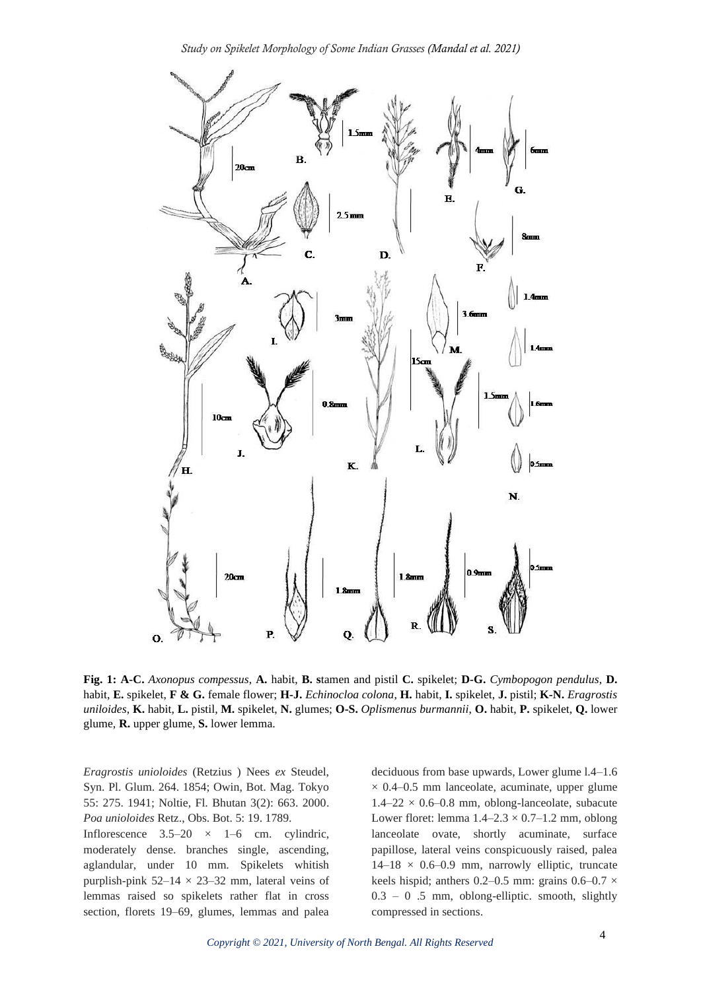

**Fig. 1: A-C.** *Axonopus compessus*, **A.** habit, **B. s**tamen and pistil **C.** spikelet; **D-G.** *Cymbopogon pendulus*, **D.** habit, **E.** spikelet, **F & G.** female flower; **H-J.** *Echinocloa colona*, **H.** habit, **I.** spikelet, **J.** pistil; **K-N.** *Eragrostis uniloides*, **K.** habit, **L.** pistil, **M.** spikelet, **N.** glumes; **O-S.** *Oplismenus burmannii*, **O.** habit, **P.** spikelet, **Q.** lower glume, **R.** upper glume, **S.** lower lemma.

*Eragrostis unioloides* (Retzius ) Nees *ex* Steudel, Syn. Pl. Glum. 264. 1854; Owin, Bot. Mag. Tokyo 55: 275. 1941; Noltie, Fl. Bhutan 3(2): 663. 2000. *Poa unioloides* Retz., Obs. Bot. 5: 19. 1789.

Inflorescence  $3.5-20 \times 1-6$  cm. cylindric, moderately dense. branches single, ascending, aglandular, under 10 mm. Spikelets whitish purplish-pink  $52-14 \times 23-32$  mm, lateral veins of lemmas raised so spikelets rather flat in cross section, florets 19–69, glumes, lemmas and palea

deciduous from base upwards, Lower glume l.4–1.6  $\times$  0.4–0.5 mm lanceolate, acuminate, upper glume  $1.4-22 \times 0.6-0.8$  mm, oblong-lanceolate, subacute Lower floret: lemma  $1.4-2.3 \times 0.7-1.2$  mm, oblong lanceolate ovate, shortly acuminate, surface papillose, lateral veins conspicuously raised, palea  $14-18 \times 0.6-0.9$  mm, narrowly elliptic, truncate keels hispid; anthers 0.2–0.5 mm: grains  $0.6-0.7 \times$  $0.3 - 0.5$  mm, oblong-elliptic. smooth, slightly compressed in sections.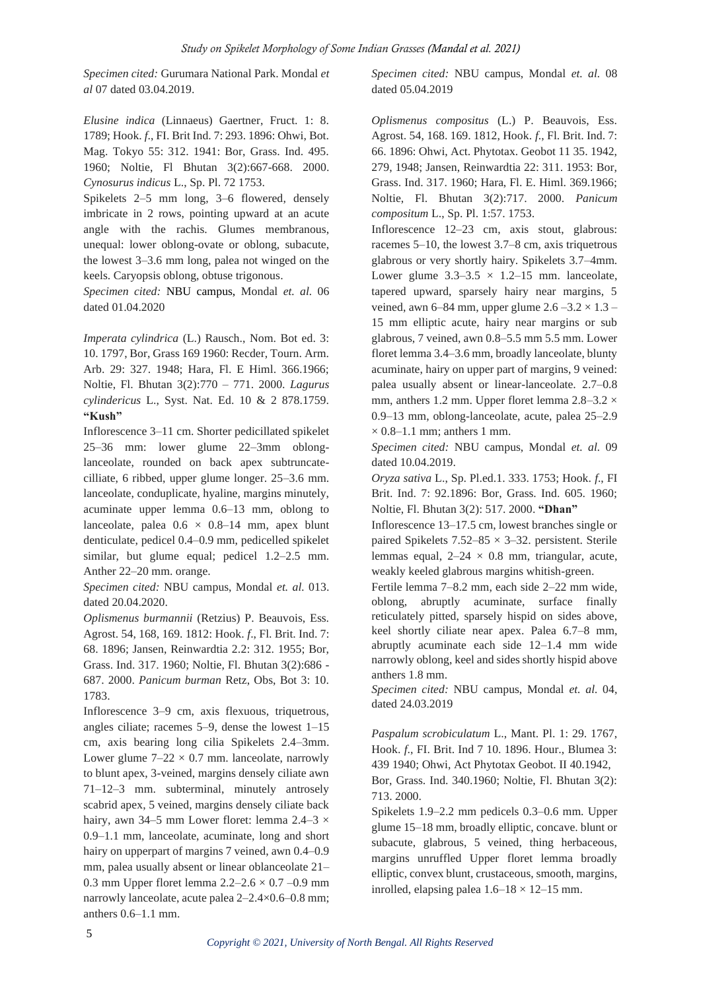*Specimen cited:* Gurumara National Park. Mondal *et al* 07 dated 03.04.2019.

*Elusine indica* (Linnaeus) Gaertner, Fruct. 1: 8. 1789; Hook. *f*., FI. Brit Ind. 7: 293. 1896: Ohwi, Bot. Mag. Tokyo 55: 312. 1941: Bor, Grass. Ind. 495. 1960; Noltie, Fl Bhutan 3(2):667-668. 2000. *Cynosurus indicus* L., Sp. Pl. 72 1753.

Spikelets 2–5 mm long, 3–6 flowered, densely imbricate in 2 rows, pointing upward at an acute angle with the rachis. Glumes membranous, unequal: lower oblong-ovate or oblong, subacute, the lowest 3–3.6 mm long, palea not winged on the keels. Caryopsis oblong, obtuse trigonous.

*Specimen cited:* NBU campus, Mondal *et. al.* 06 dated 01.04.2020

*Imperata cylindrica* (L.) Rausch., Nom. Bot ed. 3: 10. 1797, Bor, Grass 169 1960: Recder, Tourn. Arm. Arb. 29: 327. 1948; Hara, Fl. E Himl. 366.1966; Noltie, Fl. Bhutan 3(2):770 – 771. 2000. *Lagurus cylindericus* L., Syst. Nat. Ed. 10 & 2 878.1759. **"Kush"**

Inflorescence 3–11 cm. Shorter pedicillated spikelet 25–36 mm: lower glume 22–3mm oblonglanceolate, rounded on back apex subtruncatecilliate, 6 ribbed, upper glume longer. 25–3.6 mm. lanceolate, conduplicate, hyaline, margins minutely, acuminate upper lemma 0.6–13 mm, oblong to lanceolate, palea  $0.6 \times 0.8$ -14 mm, apex blunt denticulate, pedicel 0.4–0.9 mm, pedicelled spikelet similar, but glume equal; pedicel 1.2–2.5 mm. Anther 22–20 mm. orange.

*Specimen cited:* NBU campus, Mondal *et. al.* 013. dated 20.04.2020.

*Oplismenus burmannii* (Retzius) P. Beauvois, Ess. Agrost. 54, 168, 169. 1812: Hook. *f*., Fl. Brit. Ind. 7: 68. 1896; Jansen, Reinwardtia 2.2: 312. 1955; Bor, Grass. Ind. 317. 1960; Noltie, Fl. Bhutan 3(2):686 - 687. 2000. *Panicum burman* Retz, Obs, Bot 3: 10. 1783.

Inflorescence 3–9 cm, axis flexuous, triquetrous, angles ciliate; racemes 5–9, dense the lowest 1–15 cm, axis bearing long cilia Spikelets 2.4–3mm. Lower glume  $7-22 \times 0.7$  mm. lanceolate, narrowly to blunt apex, 3-veined, margins densely ciliate awn 71–12–3 mm. subterminal, minutely antrosely scabrid apex, 5 veined, margins densely ciliate back hairy, awn 34–5 mm Lower floret: lemma  $2.4-3 \times$ 0.9–1.1 mm, lanceolate, acuminate, long and short hairy on upperpart of margins 7 veined, awn 0.4–0.9 mm, palea usually absent or linear oblanceolate 21– 0.3 mm Upper floret lemma  $2.2 - 2.6 \times 0.7 - 0.9$  mm narrowly lanceolate, acute palea 2–2.4×0.6–0.8 mm; anthers 0.6–1.1 mm.

*Specimen cited:* NBU campus, Mondal *et. al.* 08 dated 05.04.2019

*Oplismenus compositus* (L.) P. Beauvois, Ess. Agrost. 54, 168. 169. 1812, Hook. *f*., Fl. Brit. Ind. 7: 66. 1896: Ohwi, Act. Phytotax. Geobot 11 35. 1942, 279, 1948; Jansen, Reinwardtia 22: 311. 1953: Bor, Grass. Ind. 317. 1960; Hara, Fl. E. Himl. 369.1966; Noltie, Fl. Bhutan 3(2):717. 2000. *Panicum compositum* L., Sp. Pl. 1:57. 1753.

Inflorescence 12–23 cm, axis stout, glabrous: racemes 5–10, the lowest 3.7–8 cm, axis triquetrous glabrous or very shortly hairy. Spikelets 3.7–4mm. Lower glume  $3.3-3.5 \times 1.2-15$  mm. lanceolate, tapered upward, sparsely hairy near margins, 5 veined, awn 6–84 mm, upper glume  $2.6 - 3.2 \times 1.3$  – 15 mm elliptic acute, hairy near margins or sub glabrous, 7 veined, awn 0.8–5.5 mm 5.5 mm. Lower floret lemma 3.4–3.6 mm, broadly lanceolate, blunty acuminate, hairy on upper part of margins, 9 veined: palea usually absent or linear-lanceolate. 2.7–0.8 mm, anthers 1.2 mm. Upper floret lemma  $2.8-3.2 \times$ 0.9–13 mm, oblong-lanceolate, acute, palea 25–2.9  $\times$  0.8–1.1 mm; anthers 1 mm.

*Specimen cited:* NBU campus, Mondal *et. al.* 09 dated 10.04.2019.

*Oryza sativa* L., Sp. Pl.ed.1. 333. 1753; Hook. *f*., FI Brit. Ind. 7: 92.1896: Bor, Grass. Ind. 605. 1960; Noltie, Fl. Bhutan 3(2): 517. 2000. **"Dhan"**

Inflorescence 13–17.5 cm, lowest branches single or paired Spikelets  $7.52-85 \times 3-32$ . persistent. Sterile lemmas equal,  $2-24 \times 0.8$  mm, triangular, acute, weakly keeled glabrous margins whitish-green.

Fertile lemma 7–8.2 mm, each side 2–22 mm wide, oblong, abruptly acuminate, surface finally reticulately pitted, sparsely hispid on sides above, keel shortly ciliate near apex. Palea 6.7–8 mm, abruptly acuminate each side 12–1.4 mm wide narrowly oblong, keel and sides shortly hispid above anthers 1.8 mm.

*Specimen cited:* NBU campus, Mondal *et. al.* 04, dated 24.03.2019

*Paspalum scrobiculatum* L., Mant. Pl. 1: 29. 1767, Hook. *f*., FI. Brit. Ind 7 10. 1896. Hour., Blumea 3: 439 1940; Ohwi, Act Phytotax Geobot. II 40.1942, Bor, Grass. Ind. 340.1960; Noltie, Fl. Bhutan 3(2):

713. 2000.

Spikelets 1.9–2.2 mm pedicels 0.3–0.6 mm. Upper glume 15–18 mm, broadly elliptic, concave. blunt or subacute, glabrous, 5 veined, thing herbaceous, margins unruffled Upper floret lemma broadly elliptic, convex blunt, crustaceous, smooth, margins, inrolled, elapsing palea  $1.6-18 \times 12-15$  mm.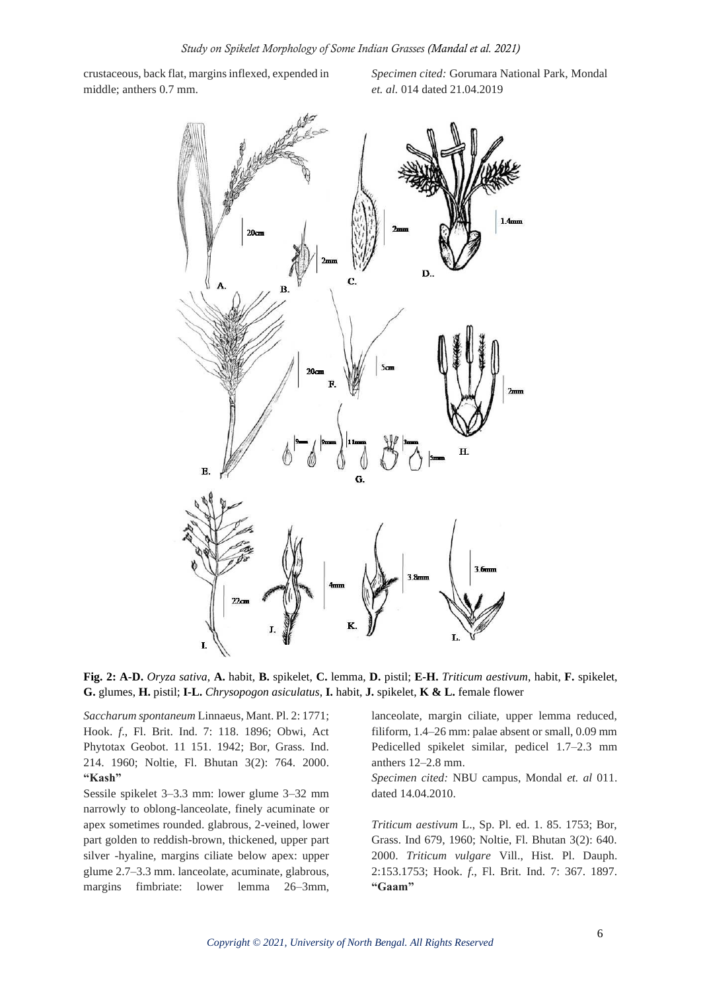crustaceous, back flat, margins inflexed, expended in middle; anthers 0.7 mm.

*Specimen cited:* Gorumara National Park, Mondal *et. al.* 014 dated 21.04.2019



**Fig. 2: A-D.** *Oryza sativa*, **A.** habit, **B.** spikelet, **C.** lemma, **D.** pistil; **E-H.** *Triticum aestivum*, habit, **F.** spikelet, **G.** glumes, **H.** pistil; **I-L.** *Chrysopogon asiculatus*, **I.** habit, **J.** spikelet, **K & L.** female flower

*Saccharum spontaneum* Linnaeus, Mant. Pl. 2: 1771; Hook. *f*., Fl. Brit. Ind. 7: 118. 1896; Obwi, Act Phytotax Geobot. 11 151. 1942; Bor, Grass. Ind. 214. 1960; Noltie, Fl. Bhutan 3(2): 764. 2000. **"Kash"**

Sessile spikelet 3–3.3 mm: lower glume 3–32 mm narrowly to oblong-lanceolate, finely acuminate or apex sometimes rounded. glabrous, 2-veined, lower part golden to reddish-brown, thickened, upper part silver -hyaline, margins ciliate below apex: upper glume 2.7–3.3 mm. lanceolate, acuminate, glabrous, margins fimbriate: lower lemma 26–3mm,

lanceolate, margin ciliate, upper lemma reduced, filiform, 1.4–26 mm: palae absent or small, 0.09 mm Pedicelled spikelet similar, pedicel 1.7–2.3 mm anthers 12–2.8 mm.

*Specimen cited:* NBU campus, Mondal *et. al* 011. dated 14.04.2010.

*Triticum aestivum* L., Sp. Pl. ed. 1. 85. 1753; Bor, Grass. Ind 679, 1960; Noltie, Fl. Bhutan 3(2): 640. 2000. *Triticum vulgare* Vill., Hist. Pl. Dauph. 2:153.1753; Hook. *f*., Fl. Brit. Ind. 7: 367. 1897. **"Gaam"**